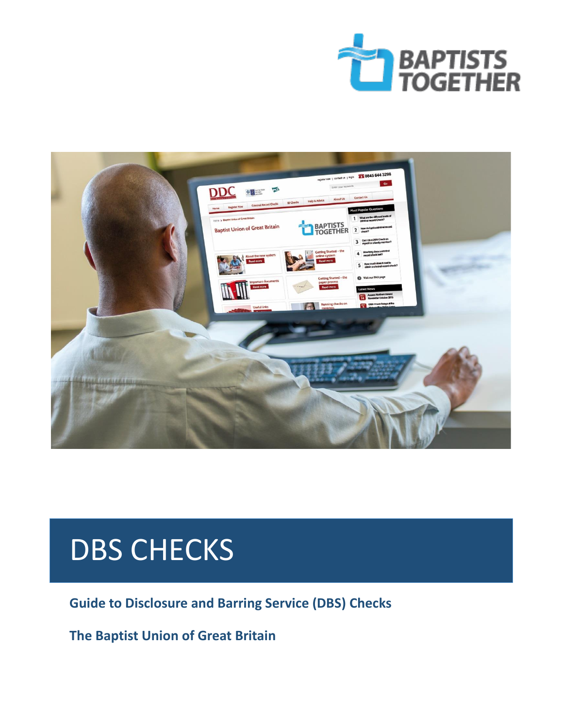



# DBS CHECKS

 **Guide to Disclosure and Barring Service (DBS) Checks**

 **The Baptist Union of Great Britain**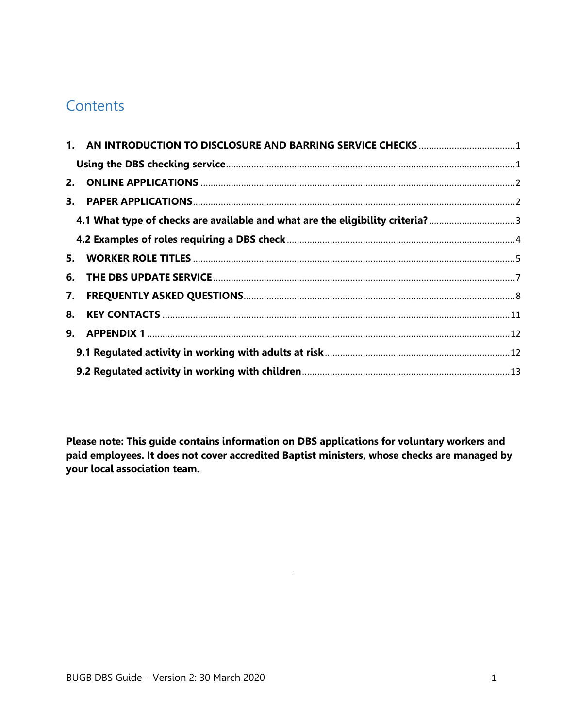# **Contents**

| 4.1 What type of checks are available and what are the eligibility criteria? |  |
|------------------------------------------------------------------------------|--|
|                                                                              |  |
|                                                                              |  |
|                                                                              |  |
|                                                                              |  |
|                                                                              |  |
|                                                                              |  |
|                                                                              |  |
|                                                                              |  |

**Please note: This guide contains information on DBS applications for voluntary workers and paid employees. It does not cover accredited Baptist ministers, whose checks are managed by your local association team.**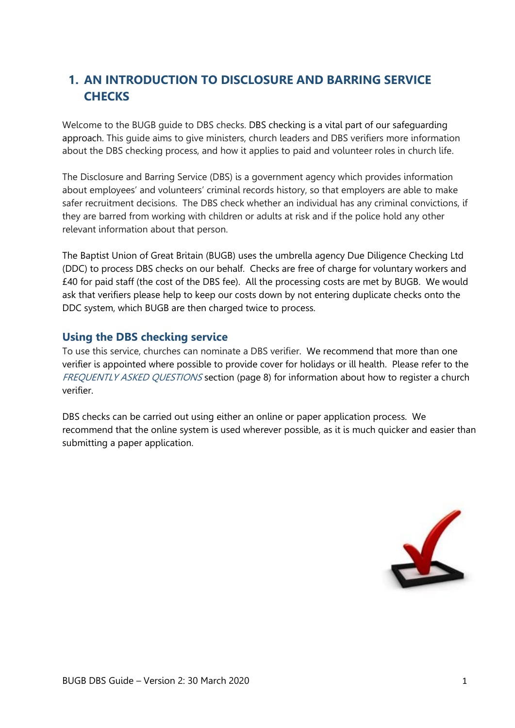# <span id="page-2-0"></span>**1. AN INTRODUCTION TO DISCLOSURE AND BARRING SERVICE CHECKS**

Welcome to the BUGB guide to DBS checks. DBS checking is a vital part of our safeguarding approach. This guide aims to give ministers, church leaders and DBS verifiers more information about the DBS checking process, and how it applies to paid and volunteer roles in church life.

The Disclosure and Barring Service (DBS) is a government agency which provides information about employees' and volunteers' criminal records history, so that employers are able to make safer recruitment decisions. The DBS check whether an individual has any criminal convictions, if they are barred from working with children or adults at risk and if the police hold any other relevant information about that person.

<span id="page-2-1"></span>The Baptist Union of Great Britain (BUGB) uses the umbrella agency Due Diligence Checking Ltd (DDC) to process DBS checks on our behalf. Checks are free of charge for voluntary workers and £40 for paid staff (the cost of the DBS fee). All the processing costs are met by BUGB. We would ask that verifiers please help to keep our costs down by not entering duplicate checks onto the DDC system, which BUGB are then charged twice to process.

## **Using the DBS checking service**

To use this service, churches can nominate a DBS verifier. We recommend that more than one verifier is appointed where possible to provide cover for holidays or ill health. Please refer to the FREQUENTLY ASKED QUESTIONS section (page 8) for information about how to register a church verifier.

DBS checks can be carried out using either an online or paper application process. We recommend that the online system is used wherever possible, as it is much quicker and easier than submitting a paper application.

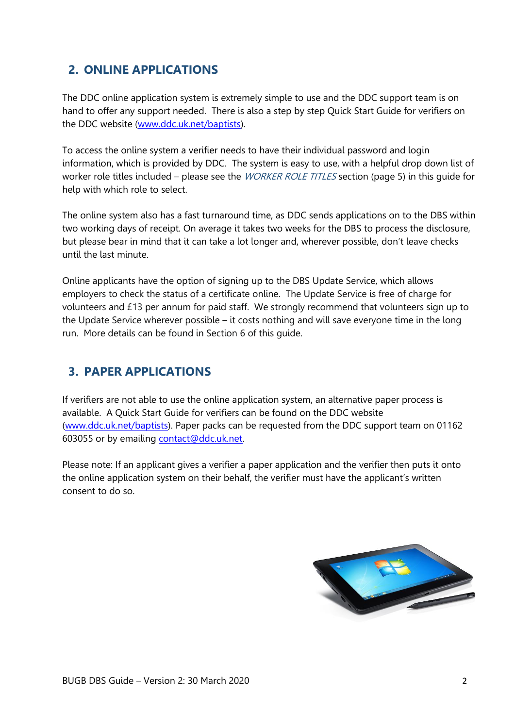# <span id="page-3-0"></span>**2. ONLINE APPLICATIONS**

The DDC online application system is extremely simple to use and the DDC support team is on hand to offer any support needed. There is also a step by step Quick Start Guide for verifiers on the DDC website [\(www.ddc.uk.net/baptists\)](http://www.ddc.uk.net/baptists).

To access the online system a verifier needs to have their individual password and login information, which is provided by DDC. The system is easy to use, with a helpful drop down list of worker role titles included – please see the *WORKER ROLE TITLES* section (page 5) in this quide for help with which role to select.

The online system also has a fast turnaround time, as DDC sends applications on to the DBS within two working days of receipt. On average it takes two weeks for the DBS to process the disclosure, but please bear in mind that it can take a lot longer and, wherever possible, don't leave checks until the last minute.

<span id="page-3-1"></span>Online applicants have the option of signing up to the DBS Update Service, which allows employers to check the status of a certificate online. The Update Service is free of charge for volunteers and £13 per annum for paid staff. We strongly recommend that volunteers sign up to the Update Service wherever possible – it costs nothing and will save everyone time in the long run. More details can be found in Section 6 of this guide.

## **3. PAPER APPLICATIONS**

If verifiers are not able to use the online application system, an alternative paper process is available. A Quick Start Guide for verifiers can be found on the DDC website [\(www.ddc.uk.net/baptists\)](http://www.ddc.uk.net/baptists). Paper packs can be requested from the DDC support team on 01162 603055 or by emailing [contact@ddc.uk.net.](mailto:contact@ddc.uk.net)

Please note: If an applicant gives a verifier a paper application and the verifier then puts it onto the online application system on their behalf, the verifier must have the applicant's written consent to do so.

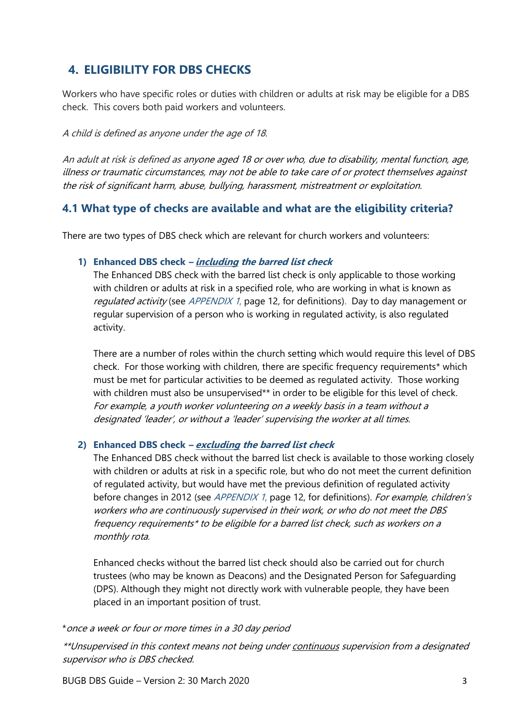## **4. ELIGIBILITY FOR DBS CHECKS**

Workers who have specific roles or duties with children or adults at risk may be eligible for a DBS check. This covers both paid workers and volunteers.

#### A child is defined as anyone under the age of 18.

<span id="page-4-0"></span>An adult at risk is defined as anyone aged 18 or over who, due to disability, mental function, age, illness or traumatic circumstances, may not be able to take care of or protect themselves against the risk of significant harm, abuse, bullying, harassment, mistreatment or exploitation.

## **4.1 What type of checks are available and what are the eligibility criteria?**

There are two types of DBS check which are relevant for church workers and volunteers:

#### **1) Enhanced DBS check – including the barred list check**

The Enhanced DBS check with the barred list check is only applicable to those working with children or adults at risk in a specified role, who are working in what is known as regulated activity (see APPENDIX 1, page 12, for definitions). Day to day management or regular supervision of a person who is working in regulated activity, is also regulated activity.

There are a number of roles within the church setting which would require this level of DBS check. For those working with children, there are specific frequency requirements\* which must be met for particular activities to be deemed as regulated activity. Those working with children must also be unsupervised\*\* in order to be eligible for this level of check. For example, a youth worker volunteering on a weekly basis in a team without a designated 'leader', or without a 'leader' supervising the worker at all times.

#### **2) Enhanced DBS check – excluding the barred list check**

The Enhanced DBS check without the barred list check is available to those working closely with children or adults at risk in a specific role, but who do not meet the current definition of regulated activity, but would have met the previous definition of regulated activity before changes in 2012 (see *APPENDIX 1*, page 12, for definitions). For example, children's workers who are continuously supervised in their work, or who do not meet the DBS frequency requirements\* to be eligible for a barred list check, such as workers on a monthly rota.

Enhanced checks without the barred list check should also be carried out for church trustees (who may be known as Deacons) and the Designated Person for Safeguarding (DPS). Although they might not directly work with vulnerable people, they have been placed in an important position of trust.

#### \*once a week or four or more times in a 30 day period

\*\*Unsupervised in this context means not being under continuous supervision from a designated supervisor who is DBS checked.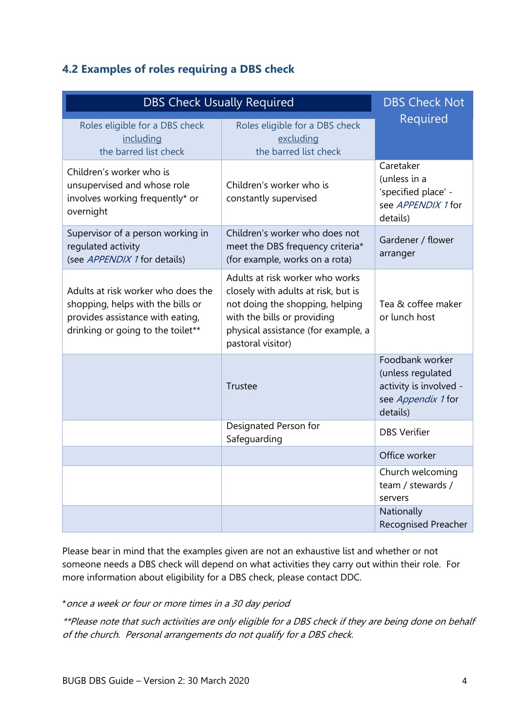## <span id="page-5-0"></span>**4.2 Examples of roles requiring a DBS check**

| <b>DBS Check Usually Required</b>                                                                                                                | <b>DBS Check Not</b>                                                                                                                                                                                 |                                                                                                  |
|--------------------------------------------------------------------------------------------------------------------------------------------------|------------------------------------------------------------------------------------------------------------------------------------------------------------------------------------------------------|--------------------------------------------------------------------------------------------------|
| Roles eligible for a DBS check<br>including<br>the barred list check                                                                             | Roles eligible for a DBS check<br>excluding<br>the barred list check                                                                                                                                 | Required                                                                                         |
| Children's worker who is<br>unsupervised and whose role<br>involves working frequently* or<br>overnight                                          | Children's worker who is<br>constantly supervised                                                                                                                                                    | Caretaker<br>(unless in a<br>'specified place' -<br>see APPENDIX 1 for<br>details)               |
| Supervisor of a person working in<br>regulated activity<br>(see APPENDIX 1 for details)                                                          | Children's worker who does not<br>meet the DBS frequency criteria*<br>(for example, works on a rota)                                                                                                 | Gardener / flower<br>arranger                                                                    |
| Adults at risk worker who does the<br>shopping, helps with the bills or<br>provides assistance with eating,<br>drinking or going to the toilet** | Adults at risk worker who works<br>closely with adults at risk, but is<br>not doing the shopping, helping<br>with the bills or providing<br>physical assistance (for example, a<br>pastoral visitor) | Tea & coffee maker<br>or lunch host                                                              |
|                                                                                                                                                  | Trustee                                                                                                                                                                                              | Foodbank worker<br>(unless regulated<br>activity is involved -<br>see Appendix 1 for<br>details) |
|                                                                                                                                                  | Designated Person for<br>Safeguarding                                                                                                                                                                | <b>DBS Verifier</b>                                                                              |
|                                                                                                                                                  |                                                                                                                                                                                                      | Office worker                                                                                    |
|                                                                                                                                                  |                                                                                                                                                                                                      | Church welcoming<br>team / stewards /<br>servers                                                 |
|                                                                                                                                                  |                                                                                                                                                                                                      | Nationally<br><b>Recognised Preacher</b>                                                         |

Please bear in mind that the examples given are not an exhaustive list and whether or not someone needs a DBS check will depend on what activities they carry out within their role. For more information about eligibility for a DBS check, please contact DDC.

\*once a week or four or more times in a 30 day period

\*\*Please note that such activities are only eligible for a DBS check if they are being done on behalf of the church. Personal arrangements do not qualify for a DBS check.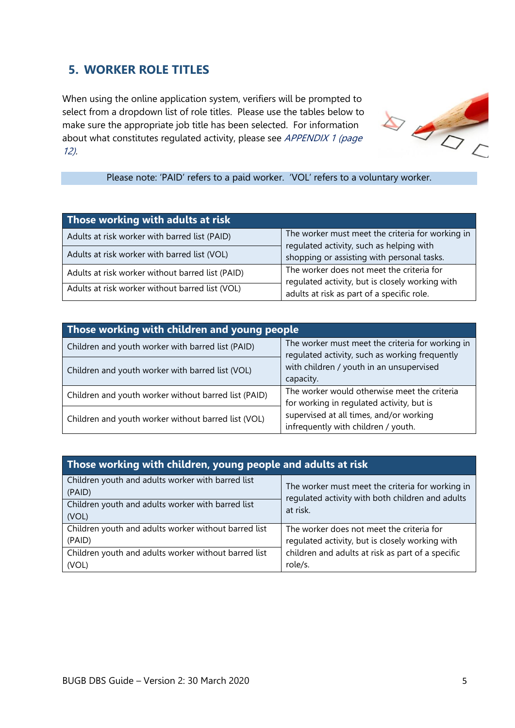# <span id="page-6-0"></span>**5. WORKER ROLE TITLES**

When using the online application system, verifiers will be prompted to select from a dropdown list of role titles. Please use the tables below to make sure the appropriate job title has been selected. For information about what constitutes regulated activity, please see APPENDIX 1 (page 12).



Please note: 'PAID' refers to a paid worker. 'VOL' refers to a voluntary worker.

| Those working with adults at risk                |                                                                                              |  |  |  |
|--------------------------------------------------|----------------------------------------------------------------------------------------------|--|--|--|
| Adults at risk worker with barred list (PAID)    | The worker must meet the criteria for working in<br>regulated activity, such as helping with |  |  |  |
| Adults at risk worker with barred list (VOL)     | shopping or assisting with personal tasks.                                                   |  |  |  |
| Adults at risk worker without barred list (PAID) | The worker does not meet the criteria for<br>regulated activity, but is closely working with |  |  |  |
| Adults at risk worker without barred list (VOL)  | adults at risk as part of a specific role.                                                   |  |  |  |

| Those working with children and young people         |                                                                                                    |  |  |  |
|------------------------------------------------------|----------------------------------------------------------------------------------------------------|--|--|--|
| Children and youth worker with barred list (PAID)    | The worker must meet the criteria for working in<br>regulated activity, such as working frequently |  |  |  |
| Children and youth worker with barred list (VOL)     | with children / youth in an unsupervised<br>capacity.                                              |  |  |  |
| Children and youth worker without barred list (PAID) | The worker would otherwise meet the criteria<br>for working in regulated activity, but is          |  |  |  |
| Children and youth worker without barred list (VOL)  | supervised at all times, and/or working<br>infrequently with children / youth.                     |  |  |  |

| Those working with children, young people and adults at risk                                                              |                                                                                                                  |  |  |  |
|---------------------------------------------------------------------------------------------------------------------------|------------------------------------------------------------------------------------------------------------------|--|--|--|
| Children youth and adults worker with barred list<br>(PAID)<br>Children youth and adults worker with barred list<br>(VOL) | The worker must meet the criteria for working in<br>regulated activity with both children and adults<br>at risk. |  |  |  |
| Children youth and adults worker without barred list                                                                      | The worker does not meet the criteria for                                                                        |  |  |  |
| (PAID)                                                                                                                    | regulated activity, but is closely working with                                                                  |  |  |  |
| Children youth and adults worker without barred list                                                                      | children and adults at risk as part of a specific                                                                |  |  |  |
| (VOL)                                                                                                                     | role/s.                                                                                                          |  |  |  |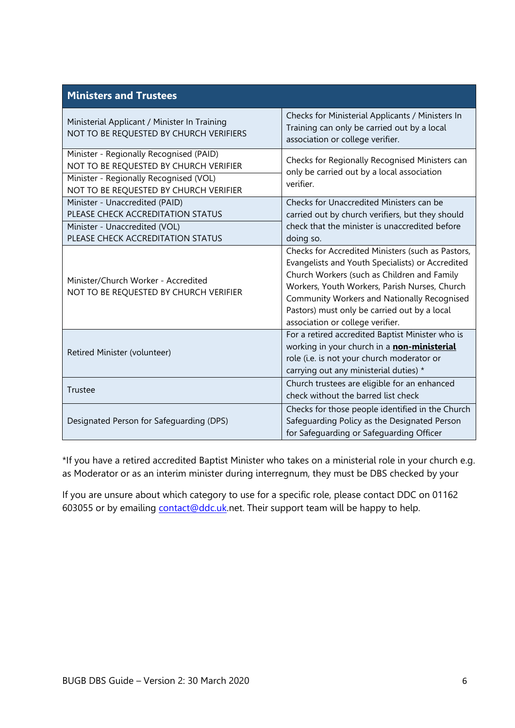| Ministerial Applicant / Minister In Training<br>NOT TO BE REQUESTED BY CHURCH VERIFIERS                                                                               | Checks for Ministerial Applicants / Ministers In<br>Training can only be carried out by a local<br>association or college verifier.                                                                                                                                                                                                      |  |
|-----------------------------------------------------------------------------------------------------------------------------------------------------------------------|------------------------------------------------------------------------------------------------------------------------------------------------------------------------------------------------------------------------------------------------------------------------------------------------------------------------------------------|--|
| Minister - Regionally Recognised (PAID)<br>NOT TO BE REQUESTED BY CHURCH VERIFIER<br>Minister - Regionally Recognised (VOL)<br>NOT TO BE REQUESTED BY CHURCH VERIFIER | Checks for Regionally Recognised Ministers can<br>only be carried out by a local association<br>verifier.                                                                                                                                                                                                                                |  |
| Minister - Unaccredited (PAID)<br>PLEASE CHECK ACCREDITATION STATUS<br>Minister - Unaccredited (VOL)<br>PLEASE CHECK ACCREDITATION STATUS                             | Checks for Unaccredited Ministers can be<br>carried out by church verifiers, but they should<br>check that the minister is unaccredited before<br>doing so.                                                                                                                                                                              |  |
| Minister/Church Worker - Accredited<br>NOT TO BE REQUESTED BY CHURCH VERIFIER                                                                                         | Checks for Accredited Ministers (such as Pastors,<br>Evangelists and Youth Specialists) or Accredited<br>Church Workers (such as Children and Family<br>Workers, Youth Workers, Parish Nurses, Church<br>Community Workers and Nationally Recognised<br>Pastors) must only be carried out by a local<br>association or college verifier. |  |
| Retired Minister (volunteer)                                                                                                                                          | For a retired accredited Baptist Minister who is<br>working in your church in a non-ministerial<br>role (i.e. is not your church moderator or<br>carrying out any ministerial duties) *                                                                                                                                                  |  |
| Trustee                                                                                                                                                               | Church trustees are eligible for an enhanced<br>check without the barred list check                                                                                                                                                                                                                                                      |  |
| Designated Person for Safeguarding (DPS)                                                                                                                              | Checks for those people identified in the Church<br>Safeguarding Policy as the Designated Person<br>for Safeguarding or Safeguarding Officer                                                                                                                                                                                             |  |

\*If you have a retired accredited Baptist Minister who takes on a ministerial role in your church e.g. as Moderator or as an interim minister during interregnum, they must be DBS checked by your

If you are unsure about which category to use for a specific role, please contact DDC on 01162 603055 or by emailing [contact@ddc.uk.](mailto:contact@ddc.uk)net. Their support team will be happy to help.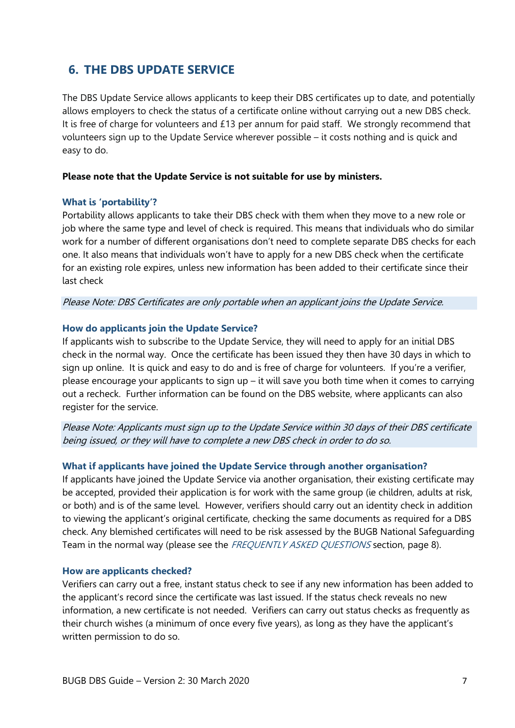## <span id="page-8-0"></span>**6. THE DBS UPDATE SERVICE**

The DBS Update Service allows applicants to keep their DBS certificates up to date, and potentially allows employers to check the status of a certificate online without carrying out a new DBS check. It is free of charge for volunteers and £13 per annum for paid staff. We strongly recommend that volunteers sign up to the Update Service wherever possible – it costs nothing and is quick and easy to do.

#### **Please note that the Update Service is not suitable for use by ministers.**

#### **What is 'portability'?**

Portability allows applicants to take their DBS check with them when they move to a new role or job where the same type and level of check is required. This means that individuals who do similar work for a number of different organisations don't need to complete separate DBS checks for each one. It also means that individuals won't have to apply for a new DBS check when the certificate for an existing role expires, unless new information has been added to their certificate since their last check

Please Note: DBS Certificates are only portable when an applicant joins the Update Service.

#### **How do applicants join the Update Service?**

If applicants wish to subscribe to the Update Service, they will need to apply for an initial DBS check in the normal way. Once the certificate has been issued they then have 30 days in which to sign up online. It is quick and easy to do and is free of charge for volunteers. If you're a verifier, please encourage your applicants to sign up – it will save you both time when it comes to carrying out a recheck. Further information can be found on the DBS website, where applicants can also register for the service.

Please Note: Applicants must sign up to the Update Service within 30 days of their DBS certificate being issued, or they will have to complete a new DBS check in order to do so.

#### **What if applicants have joined the Update Service through another organisation?**

If applicants have joined the Update Service via another organisation, their existing certificate may be accepted, provided their application is for work with the same group (ie children, adults at risk, or both) and is of the same level. However, verifiers should carry out an identity check in addition to viewing the applicant's original certificate, checking the same documents as required for a DBS check. Any blemished certificates will need to be risk assessed by the BUGB National Safeguarding Team in the normal way (please see the FREQUENTLY ASKED QUESTIONS section, page 8).

#### **How are applicants checked?**

Verifiers can carry out a free, instant status check to see if any new information has been added to the applicant's record since the certificate was last issued. If the status check reveals no new information, a new certificate is not needed. Verifiers can carry out status checks as frequently as their church wishes (a minimum of once every five years), as long as they have the applicant's written permission to do so.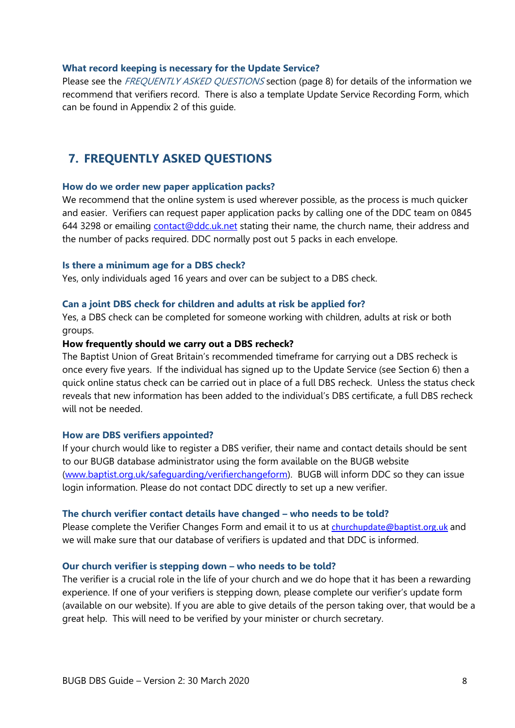#### **What record keeping is necessary for the Update Service?**

<span id="page-9-0"></span>Please see the FREQUENTLY ASKED QUESTIONS section (page 8) for details of the information we recommend that verifiers record. There is also a template Update Service Recording Form, which can be found in Appendix 2 of this guide.

## **7. FREQUENTLY ASKED QUESTIONS**

#### **How do we order new paper application packs?**

We recommend that the online system is used wherever possible, as the process is much quicker and easier. Verifiers can request paper application packs by calling one of the DDC team on 0845 644 3298 or emailing [contact@ddc.uk.net](mailto:contact@ddc.uk.net) stating their name, the church name, their address and the number of packs required. DDC normally post out 5 packs in each envelope.

#### **Is there a minimum age for a DBS check?**

Yes, only individuals aged 16 years and over can be subject to a DBS check.

#### **Can a joint DBS check for children and adults at risk be applied for?**

Yes, a DBS check can be completed for someone working with children, adults at risk or both groups.

#### **How frequently should we carry out a DBS recheck?**

The Baptist Union of Great Britain's recommended timeframe for carrying out a DBS recheck is once every five years. If the individual has signed up to the Update Service (see Section 6) then a quick online status check can be carried out in place of a full DBS recheck. Unless the status check reveals that new information has been added to the individual's DBS certificate, a full DBS recheck will not be needed.

#### **How are DBS verifiers appointed?**

If your church would like to register a DBS verifier, their name and contact details should be sent to our BUGB database administrator using the form available on the BUGB website [\(www.baptist.org.uk/safeguarding/verifierchangeform\)](http://www.baptist.org.uk/safeguarding/verifierchangeform). BUGB will inform DDC so they can issue login information. Please do not contact DDC directly to set up a new verifier.

#### **The church verifier contact details have changed – who needs to be told?**

Please complete the Verifier Changes Form and email it to us at [churchupdate@baptist.org.uk](mailto:churchupdate@baptist.org.uk) and we will make sure that our database of verifiers is updated and that DDC is informed.

#### **Our church verifier is stepping down – who needs to be told?**

The verifier is a crucial role in the life of your church and we do hope that it has been a rewarding experience. If one of your verifiers is stepping down, please complete our verifier's update form (available on our website). If you are able to give details of the person taking over, that would be a great help. This will need to be verified by your minister or church secretary.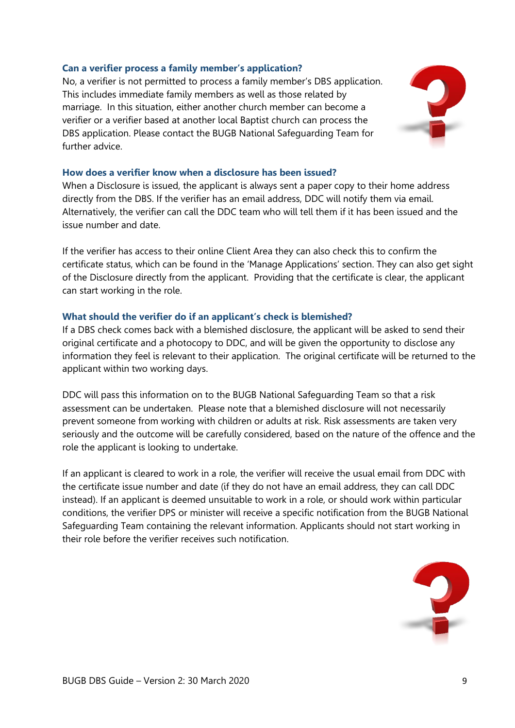#### **Can a verifier process a family member's application?**

No, a verifier is not permitted to process a family member's DBS application. This includes immediate family members as well as those related by marriage. In this situation, either another church member can become a verifier or a verifier based at another local Baptist church can process the DBS application. Please contact the BUGB National Safeguarding Team for further advice.



#### **How does a verifier know when a disclosure has been issued?**

When a Disclosure is issued, the applicant is always sent a paper copy to their home address directly from the DBS. If the verifier has an email address, DDC will notify them via email. Alternatively, the verifier can call the DDC team who will tell them if it has been issued and the issue number and date.

If the verifier has access to their online Client Area they can also check this to confirm the certificate status, which can be found in the 'Manage Applications' section. They can also get sight of the Disclosure directly from the applicant. Providing that the certificate is clear, the applicant can start working in the role.

#### **What should the verifier do if an applicant's check is blemished?**

If a DBS check comes back with a blemished disclosure, the applicant will be asked to send their original certificate and a photocopy to DDC, and will be given the opportunity to disclose any information they feel is relevant to their application. The original certificate will be returned to the applicant within two working days.

DDC will pass this information on to the BUGB National Safeguarding Team so that a risk assessment can be undertaken. Please note that a blemished disclosure will not necessarily prevent someone from working with children or adults at risk. Risk assessments are taken very seriously and the outcome will be carefully considered, based on the nature of the offence and the role the applicant is looking to undertake.

If an applicant is cleared to work in a role, the verifier will receive the usual email from DDC with the certificate issue number and date (if they do not have an email address, they can call DDC instead). If an applicant is deemed unsuitable to work in a role, or should work within particular conditions, the verifier DPS or minister will receive a specific notification from the BUGB National Safeguarding Team containing the relevant information. Applicants should not start working in their role before the verifier receives such notification.

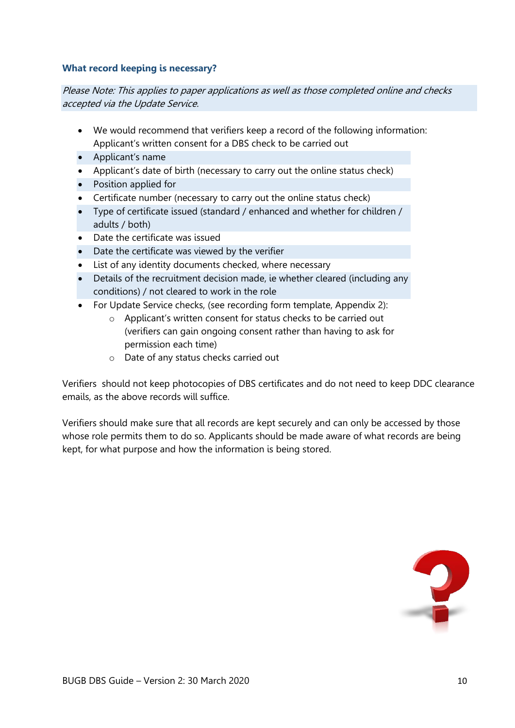#### **What record keeping is necessary?**

Please Note: This applies to paper applications as well as those completed online and checks accepted via the Update Service.

- We would recommend that verifiers keep a record of the following information: Applicant's written consent for a DBS check to be carried out
- Applicant's name
- Applicant's date of birth (necessary to carry out the online status check)
- Position applied for
- Certificate number (necessary to carry out the online status check)
- Type of certificate issued (standard / enhanced and whether for children / adults / both)
- Date the certificate was issued
- Date the certificate was viewed by the verifier
- List of any identity documents checked, where necessary
- Details of the recruitment decision made, ie whether cleared (including any conditions) / not cleared to work in the role
- For Update Service checks, (see recording form template, Appendix 2):
	- o Applicant's written consent for status checks to be carried out (verifiers can gain ongoing consent rather than having to ask for permission each time)
	- o Date of any status checks carried out

Verifiers should not keep photocopies of DBS certificates and do not need to keep DDC clearance emails, as the above records will suffice.

Verifiers should make sure that all records are kept securely and can only be accessed by those whose role permits them to do so. Applicants should be made aware of what records are being kept, for what purpose and how the information is being stored.

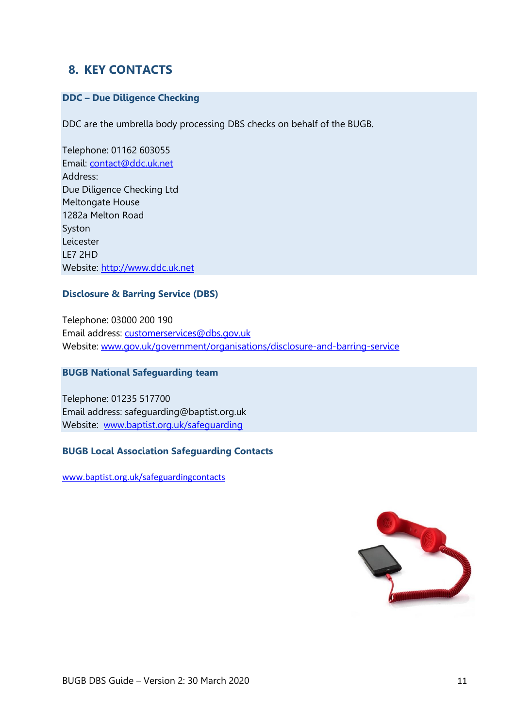## <span id="page-12-0"></span>**8. KEY CONTACTS**

#### **DDC – Due Diligence Checking**

DDC are the umbrella body processing DBS checks on behalf of the BUGB.

Telephone: 01162 603055 Email: [contact@ddc.uk.net](mailto:contact@ddc.uk.net) Address: Due Diligence Checking Ltd Meltongate House 1282a Melton Road Syston Leicester LE7 2HD Website: [http://www.ddc.uk.net](http://www.ddc.uk.net/)

#### **Disclosure & Barring Service (DBS)**

Telephone: 03000 200 190 Email address: [customerservices@dbs.gov.uk](mailto:customerservices@dbs.gov.uk) Website: [www.gov.uk/government/organisations/disclosure-and-barring-service](http://www.gov.uk/government/organisations/disclosure-and-barring-service)

#### **BUGB National Safeguarding team**

Telephone: 01235 517700 Email address: safeguarding@baptist.org.uk Website: [www.baptist.org.uk/safeguarding](http://www.baptist.org.uk/safeguarding)

#### **BUGB Local Association Safeguarding Contacts**

[www.baptist.org.uk/safeguardingcontacts](http://www.baptist.org.uk/safeguardingcontacts)

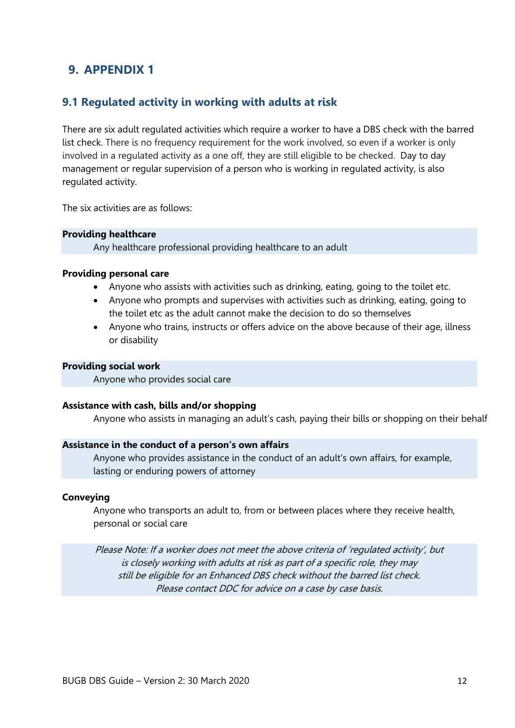## <span id="page-13-1"></span><span id="page-13-0"></span>**9. APPENDIX 1**

### **9.1 Regulated activity in working with adults at risk**

There are six adult regulated activities which require a worker to have a DBS check with the barred list check. There is no frequency requirement for the work involved, so even if a worker is only involved in a regulated activity as a one off, they are still eligible to be checked. Day to day management or regular supervision of a person who is working in regulated activity, is also regulated activity.

The six activities are as follows:

#### **Providing healthcare**

Any healthcare professional providing healthcare to an adult

#### **Providing personal care**

- Anyone who assists with activities such as drinking, eating, going to the toilet etc.
- Anyone who prompts and supervises with activities such as drinking, eating, going to the toilet etc as the adult cannot make the decision to do so themselves
- Anyone who trains, instructs or offers advice on the above because of their age, illness or disability

#### **Providing social work**

Anyone who provides social care

#### **Assistance with cash, bills and/or shopping**

Anyone who assists in managing an adult's cash, paying their bills or shopping on their behalf

#### **Assistance in the conduct of a person's own affairs**

Anyone who provides assistance in the conduct of an adult's own affairs, for example, lasting or enduring powers of attorney

#### **Conveying**

Anyone who transports an adult to, from or between places where they receive health, personal or social care

Please Note: If a worker does not meet the above criteria of 'regulated activity', but is closely working with adults at risk as part of a specific role, they may still be eligible for an Enhanced DBS check without the barred list check. Please contact DDC for advice on a case by case basis.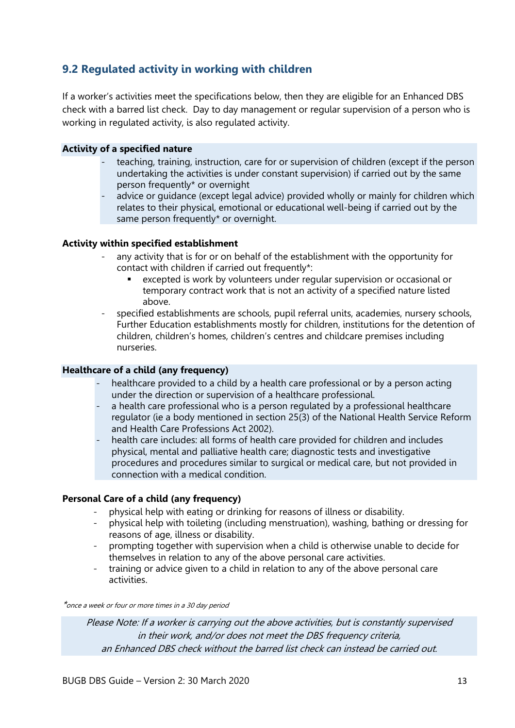## <span id="page-14-0"></span>**9.2 Regulated activity in working with children**

If a worker's activities meet the specifications below, then they are eligible for an Enhanced DBS check with a barred list check. Day to day management or regular supervision of a person who is working in regulated activity, is also regulated activity.

#### **Activity of a specified nature**

- teaching, training, instruction, care for or supervision of children (except if the person undertaking the activities is under constant supervision) if carried out by the same person frequently\* or overnight
- advice or guidance (except legal advice) provided wholly or mainly for children which relates to their physical, emotional or educational well-being if carried out by the same person frequently\* or overnight.

#### **Activity within specified establishment**

- any activity that is for or on behalf of the establishment with the opportunity for contact with children if carried out frequently\*:
	- excepted is work by volunteers under regular supervision or occasional or temporary contract work that is not an activity of a specified nature listed above.
- specified establishments are schools, pupil referral units, academies, nursery schools, Further Education establishments mostly for children, institutions for the detention of children, children's homes, children's centres and childcare premises including nurseries.

#### **Healthcare of a child (any frequency)**

- healthcare provided to a child by a health care professional or by a person acting under the direction or supervision of a healthcare professional.
- a health care professional who is a person regulated by a professional healthcare regulator (ie a body mentioned in section 25(3) of the National Health Service Reform and Health Care Professions Act 2002).
- health care includes: all forms of health care provided for children and includes physical, mental and palliative health care; diagnostic tests and investigative procedures and procedures similar to surgical or medical care, but not provided in connection with a medical condition.

#### **Personal Care of a child (any frequency)**

- physical help with eating or drinking for reasons of illness or disability.
- physical help with toileting (including menstruation), washing, bathing or dressing for reasons of age, illness or disability.
- prompting together with supervision when a child is otherwise unable to decide for themselves in relation to any of the above personal care activities.
- training or advice given to a child in relation to any of the above personal care activities.

\*once a week or four or more times in a 30 day period

Please Note: If a worker is carrying out the above activities, but is constantly supervised in their work, and/or does not meet the DBS frequency criteria, an Enhanced DBS check without the barred list check can instead be carried out.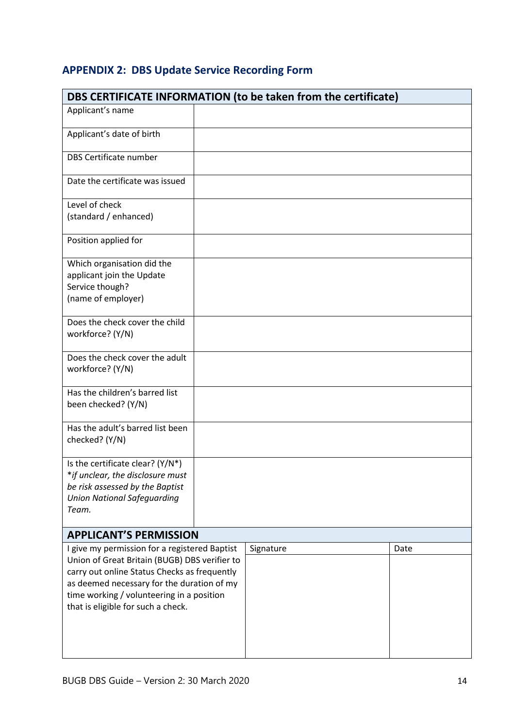# **APPENDIX 2: DBS Update Service Recording Form**

| DBS CERTIFICATE INFORMATION (to be taken from the certificate)                                                                                                                                                                                                                  |  |           |  |      |
|---------------------------------------------------------------------------------------------------------------------------------------------------------------------------------------------------------------------------------------------------------------------------------|--|-----------|--|------|
| Applicant's name                                                                                                                                                                                                                                                                |  |           |  |      |
| Applicant's date of birth                                                                                                                                                                                                                                                       |  |           |  |      |
| <b>DBS Certificate number</b>                                                                                                                                                                                                                                                   |  |           |  |      |
| Date the certificate was issued                                                                                                                                                                                                                                                 |  |           |  |      |
| Level of check<br>(standard / enhanced)                                                                                                                                                                                                                                         |  |           |  |      |
| Position applied for                                                                                                                                                                                                                                                            |  |           |  |      |
| Which organisation did the<br>applicant join the Update<br>Service though?<br>(name of employer)                                                                                                                                                                                |  |           |  |      |
| Does the check cover the child<br>workforce? (Y/N)                                                                                                                                                                                                                              |  |           |  |      |
| Does the check cover the adult<br>workforce? (Y/N)                                                                                                                                                                                                                              |  |           |  |      |
| Has the children's barred list<br>been checked? (Y/N)                                                                                                                                                                                                                           |  |           |  |      |
| Has the adult's barred list been<br>checked? (Y/N)                                                                                                                                                                                                                              |  |           |  |      |
| Is the certificate clear? (Y/N*)<br>*if unclear, the disclosure must<br>be risk assessed by the Baptist<br><b>Union National Safeguarding</b><br>Team.                                                                                                                          |  |           |  |      |
| <b>APPLICANT'S PERMISSION</b>                                                                                                                                                                                                                                                   |  |           |  |      |
| I give my permission for a registered Baptist<br>Union of Great Britain (BUGB) DBS verifier to<br>carry out online Status Checks as frequently<br>as deemed necessary for the duration of my<br>time working / volunteering in a position<br>that is eligible for such a check. |  | Signature |  | Date |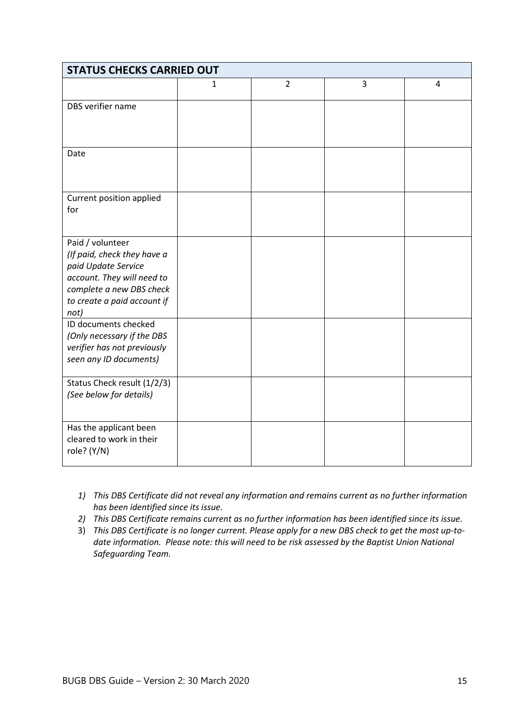| <b>STATUS CHECKS CARRIED OUT</b>                                                                                                                                        |   |                |   |   |
|-------------------------------------------------------------------------------------------------------------------------------------------------------------------------|---|----------------|---|---|
|                                                                                                                                                                         | 1 | $\overline{2}$ | 3 | 4 |
| DBS verifier name                                                                                                                                                       |   |                |   |   |
| Date                                                                                                                                                                    |   |                |   |   |
| Current position applied<br>for                                                                                                                                         |   |                |   |   |
| Paid / volunteer<br>(If paid, check they have a<br>paid Update Service<br>account. They will need to<br>complete a new DBS check<br>to create a paid account if<br>not) |   |                |   |   |
| ID documents checked<br>(Only necessary if the DBS<br>verifier has not previously<br>seen any ID documents)                                                             |   |                |   |   |
| Status Check result (1/2/3)<br>(See below for details)                                                                                                                  |   |                |   |   |
| Has the applicant been<br>cleared to work in their<br>role? (Y/N)                                                                                                       |   |                |   |   |

- *1) This DBS Certificate did not reveal any information and remains current as no further information has been identified since its issue.*
- *2) This DBS Certificate remains current as no further information has been identified since its issue.*
- 3) *This DBS Certificate is no longer current. Please apply for a new DBS check to get the most up-todate information. Please note: this will need to be risk assessed by the Baptist Union National Safeguarding Team.*